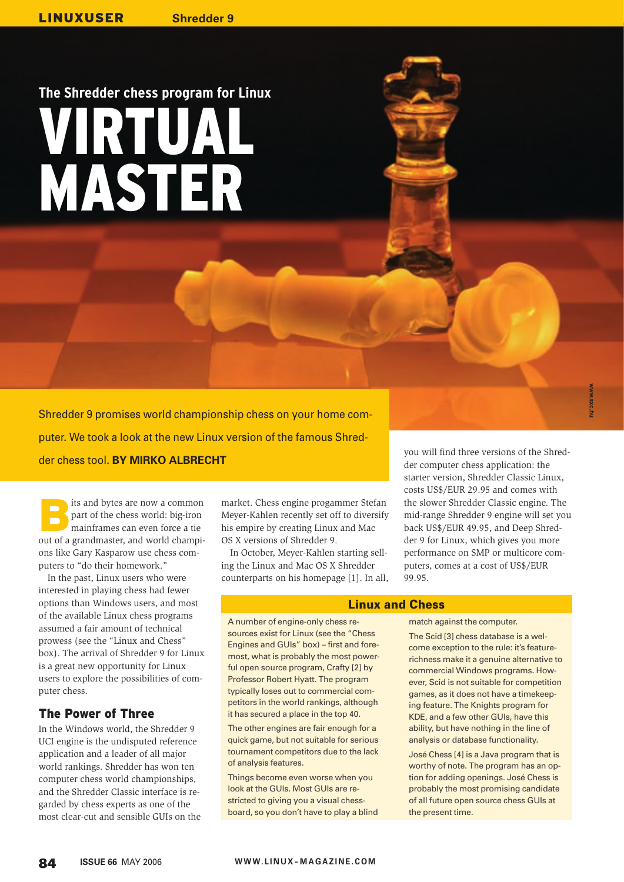# **The Shredder chess program for Linux** VIRTUAL MASTER

Shredder 9 promises world championship chess on your home computer. We took a look at the new Linux version of the famous Shredder chess tool. **BY MIRKO ALBRECHT**

Its and bytes are now a common<br>
part of the chess world: big-iron<br>
mainframes can even force a tie part of the chess world: big-iron out of a grandmaster, and world champions like Gary Kasparow use chess computers to "do their homework."

In the past, Linux users who were interested in playing chess had fewer options than Windows users, and most of the available Linux chess programs assumed a fair amount of technical prowess (see the "Linux and Chess" box). The arrival of Shredder 9 for Linux is a great new opportunity for Linux users to explore the possibilities of computer chess.

# The Power of Three

In the Windows world, the Shredder 9 UCI engine is the undisputed reference application and a leader of all major world rankings. Shredder has won ten computer chess world championships, and the Shredder Classic interface is regarded by chess experts as one of the most clear-cut and sensible GUIs on the

market. Chess engine progammer Stefan Meyer-Kahlen recently set off to diversify his empire by creating Linux and Mac OS X versions of Shredder 9.

In October, Meyer-Kahlen starting selling the Linux and Mac OS X Shredder counterparts on his homepage [1]. In all,

A number of engine-only chess resources exist for Linux (see the "Chess Engines and GUIs" box) – first and foremost, what is probably the most powerful open source program, Crafty [2] by Professor Robert Hyatt. The program typically loses out to commercial competitors in the world rankings, although it has secured a place in the top 40. The other engines are fair enough for a quick game, but not suitable for serious tournament competitors due to the lack

of analysis features.

you will find three versions of the Shredder computer chess application: the starter version, Shredder Classic Linux, costs US\$/EUR 29.95 and comes with the slower Shredder Classic engine. The mid-range Shredder 9 engine will set you back US\$/EUR 49.95, and Deep Shredder 9 for Linux, which gives you more performance on SMP or multicore computers, comes at a cost of US\$/EUR 99.95.

#### Linux and Chess

match against the computer.

The Scid [3] chess database is a welcome exception to the rule: it's featurerichness make it a genuine alternative to commercial Windows programs. However, Scid is not suitable for competition games, as it does not have a timekeeping feature. The Knights program for KDE, and a few other GUIs, have this ability, but have nothing in the line of analysis or database functionality.

José Chess [4] is a Java program that is worthy of note. The program has an option for adding openings. José Chess is probably the most promising candidate of all future open source chess GUIs at the present time.

Things become even worse when you look at the GUIs. Most GUIs are restricted to giving you a visual chessboard, so you don't have to play a blind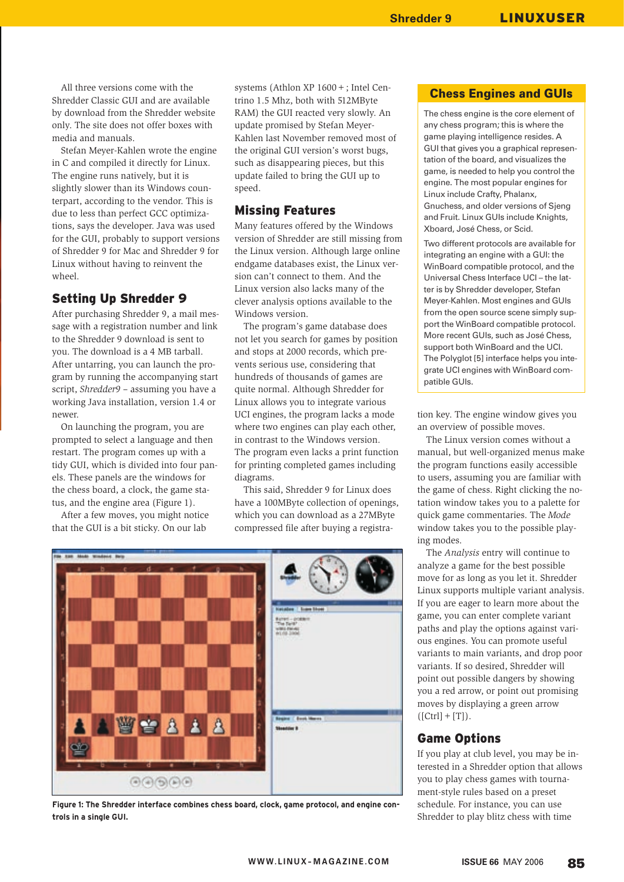All three versions come with the Shredder Classic GUI and are available by download from the Shredder website only. The site does not offer boxes with media and manuals.

Stefan Meyer-Kahlen wrote the engine in C and compiled it directly for Linux. The engine runs natively, but it is slightly slower than its Windows counterpart, according to the vendor. This is due to less than perfect GCC optimizations, says the developer. Java was used for the GUI, probably to support versions of Shredder 9 for Mac and Shredder 9 for Linux without having to reinvent the wheel.

## Setting Up Shredder 9

After purchasing Shredder 9, a mail message with a registration number and link to the Shredder 9 download is sent to you. The download is a 4 MB tarball. After untarring, you can launch the program by running the accompanying start script, *Shredder9* – assuming you have a working Java installation, version 1.4 or newer.

On launching the program, you are prompted to select a language and then restart. The program comes up with a tidy GUI, which is divided into four panels. These panels are the windows for the chess board, a clock, the game status, and the engine area (Figure 1).

After a few moves, you might notice that the GUI is a bit sticky. On our lab

systems (Athlon XP 1600+; Intel Centrino 1.5 Mhz, both with 512MByte RAM) the GUI reacted very slowly. An update promised by Stefan Meyer-Kahlen last November removed most of the original GUI version's worst bugs, such as disappearing pieces, but this update failed to bring the GUI up to speed.

## Missing Features

Many features offered by the Windows version of Shredder are still missing from the Linux version. Although large online endgame databases exist, the Linux version can't connect to them. And the Linux version also lacks many of the clever analysis options available to the Windows version.

The program's game database does not let you search for games by position and stops at 2000 records, which prevents serious use, considering that hundreds of thousands of games are quite normal. Although Shredder for Linux allows you to integrate various UCI engines, the program lacks a mode where two engines can play each other, in contrast to the Windows version. The program even lacks a print function for printing completed games including diagrams.

This said, Shredder 9 for Linux does have a 100MByte collection of openings, which you can download as a 27MByte compressed file after buying a registra-



**Figure 1: The Shredder interface combines chess board, clock, game protocol, and engine controls in a single GUI.**

#### Chess Engines and GUIs

The chess engine is the core element of any chess program; this is where the game playing intelligence resides. A GUI that gives you a graphical representation of the board, and visualizes the game, is needed to help you control the engine. The most popular engines for Linux include Crafty, Phalanx, Gnuchess, and older versions of Sjeng and Fruit. Linux GUIs include Knights, Xboard, José Chess, or Scid.

Two different protocols are available for integrating an engine with a GUI: the WinBoard compatible protocol, and the Universal Chess Interface UCI – the latter is by Shredder developer, Stefan Meyer-Kahlen. Most engines and GUIs from the open source scene simply support the WinBoard compatible protocol. More recent GUIs, such as José Chess, support both WinBoard and the UCI. The Polyglot [5] interface helps you integrate UCI engines with WinBoard compatible GUIs.

tion key. The engine window gives you an overview of possible moves.

The Linux version comes without a manual, but well-organized menus make the program functions easily accessible to users, assuming you are familiar with the game of chess. Right clicking the notation window takes you to a palette for quick game commentaries. The *Mode* window takes you to the possible playing modes.

The *Analysis* entry will continue to analyze a game for the best possible move for as long as you let it. Shredder Linux supports multiple variant analysis. If you are eager to learn more about the game, you can enter complete variant paths and play the options against various engines. You can promote useful variants to main variants, and drop poor variants. If so desired, Shredder will point out possible dangers by showing you a red arrow, or point out promising moves by displaying a green arrow  $([Ctrl] + [T]).$ 

#### Game Options

If you play at club level, you may be interested in a Shredder option that allows you to play chess games with tournament-style rules based on a preset schedule. For instance, you can use Shredder to play blitz chess with time